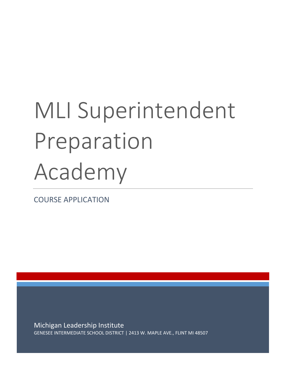# MLI Superintendent Preparation Academy

COURSE APPLICATION

Michigan Leadership Institute GENESEE INTERMEDIATE SCHOOL DISTRICT | 2413 W. MAPLE AVE., FLINT MI 48507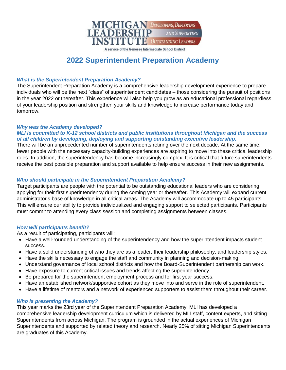

A service of the Genesee Intermediate School District

## **2022 Superintendent Preparation Academy**

#### *What is the Superintendent Preparation Academy?*

The Superintendent Preparation Academy is a comprehensive leadership development experience to prepare individuals who will be the next "class" of superintendent candidates – those considering the pursuit of positions in the year 2022 or thereafter. This experience will also help you grow as an educational professional regardless of your leadership position and strengthen your skills and knowledge to increase performance today and tomorrow.

#### *Why was the Academy developed?*

#### *MLI is committed to K-12 school districts and public institutions throughout Michigan and the success of all children by developing, deploying and supporting outstanding executive leadership.*

There will be an unprecedented number of superintendents retiring over the next decade. At the same time, fewer people with the necessary capacity-building experiences are aspiring to move into these critical leadership roles. In addition, the superintendency has become increasingly complex. It is critical that future superintendents receive the best possible preparation and support available to help ensure success in their new assignments.

#### *Who should participate in the Superintendent Preparation Academy?*

Target participants are people with the potential to be outstanding educational leaders who are considering applying for their first superintendency during the coming year or thereafter. This Academy will expand current administrator's base of knowledge in all critical areas. The Academy will accommodate up to 45 participants. This will ensure our ability to provide individualized and engaging support to selected participants. Participants must commit to attending every class session and completing assignments between classes.

#### *How will participants benefit?*

As a result of participating, participants will:

- Have a well-rounded understanding of the superintendency and how the superintendent impacts student success.
- Have a solid understanding of who they are as a leader, their leadership philosophy, and leadership styles.
- Have the skills necessary to engage the staff and community in planning and decision-making.
- Understand governance of local school districts and how the Board-Superintendent partnership can work.
- Have exposure to current critical issues and trends affecting the superintendency.
- Be prepared for the superintendent employment process and for first year success.
- Have an established network/supportive cohort as they move into and serve in the role of superintendent.
- Have a lifetime of mentors and a network of experienced supporters to assist them throughout their career.

#### *Who is presenting the Academy?*

This year marks the 23rd year of the Superintendent Preparation Academy. MLI has developed a comprehensive leadership development curriculum which is delivered by MLI staff, content experts, and sitting Superintendents from across Michigan. The program is grounded in the actual experiences of Michigan Superintendents and supported by related theory and research. Nearly 25% of sitting Michigan Superintendents are graduates of this Academy.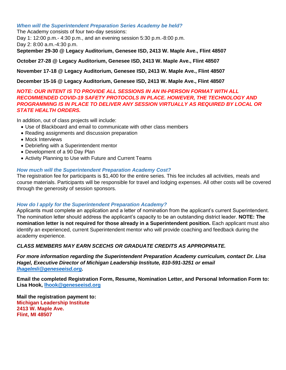#### *When will the Superintendent Preparation Series Academy be held?*

The Academy consists of four two-day sessions:

Day 1: 12:00 p.m.- 4:30 p.m., and an evening session 5:30 p.m.-8:00 p.m.

Day 2: 8:00 a.m.-4:30 p.m.

**September 29-30 @ Legacy Auditorium, Genesee ISD, 2413 W. Maple Ave., Flint 48507**

#### **October 27-28 @ Legacy Auditorium, Genesee ISD, 2413 W. Maple Ave., Flint 48507**

#### **November 17-18 @ Legacy Auditorium, Genesee ISD, 2413 W. Maple Ave., Flint 48507**

#### **December 15-16 @ Legacy Auditorium, Genesee ISD, 2413 W. Maple Ave., Flint 48507**

#### *NOTE: OUR INTENT IS TO PROVIDE ALL SESSIONS IN AN IN-PERSON FORMAT WITH ALL RECOMMENDED COVID-19 SAFETY PROTOCOLS IN PLACE. HOWEVER, THE TECHNOLOGY AND PROGRAMMING IS IN PLACE TO DELIVER ANY SESSION VIRTUALLY AS REQUIRED BY LOCAL OR STATE HEALTH ORDERS.*

In addition, out of class projects will include:

- Use of Blackboard and email to communicate with other class members
- Reading assignments and discussion preparation
- Mock Interviews
- Debriefing with a Superintendent mentor
- Development of a 90 Day Plan
- Activity Planning to Use with Future and Current Teams

#### *How much will the Superintendent Preparation Academy Cost?*

The registration fee for participants is \$1,400 for the entire series. This fee includes all activities, meals and course materials. Participants will be responsible for travel and lodging expenses. All other costs will be covered through the generosity of session sponsors.

#### *How do I apply for the Superintendent Preparation Academy?*

Applicants must complete an application and a letter of nomination from the applicant's current Superintendent. The nomination letter should address the applicant's capacity to be an outstanding district leader. **NOTE: The nomination letter is not required for those already in a Superintendent position.** Each applicant must also identify an experienced, current Superintendent mentor who will provide coaching and feedback during the academy experience.

#### *CLASS MEMBERS MAY EARN SCECHS OR GRADUATE CREDITS AS APPROPRIATE.*

*For more information regarding the Superintendent Preparation Academy curriculum, contact Dr. Lisa Hagel, Executive Director of Michigan Leadership Institute, 810-591-3251 or email [lhagelmli@geneseeisd.org.](mailto:lhagelmli@geneseeisd.org)*

**Email the completed Registration Form, Resume, Nomination Letter, and Personal Information Form to: Lisa Hook, [lhook@geneseeisd.org](mailto:lhook@geneseeisd.org)**

**Mail the registration payment to: Michigan Leadership Institute 2413 W. Maple Ave. Flint, MI 48507**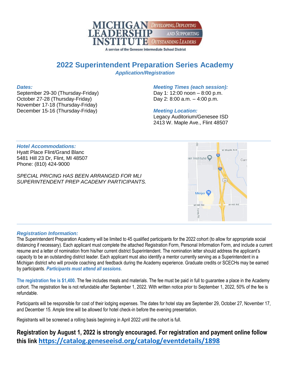

A service of the Genesee Intermediate School District

### **2022 Superintendent Preparation Series Academy** *Application/Registration*

#### *Dates:*

September 29-30 (Thursday-Friday) October 27-28 (Thursday-Friday) November 17-18 (Thursday-Friday) December 15-16 (Thursday-Friday)

#### *Meeting Times (each session):* Day 1: 12:00 noon – 8:00 p.m.

Day 2: 8:00 a.m. – 4:00 p.m.

#### *Meeting Location:*

Legacy Auditorium/Genesee ISD 2413 W. Maple Ave., Flint 48507

#### $\frac{1}{2}$ *Hotel Accommodations:* Hyatt Place Flint/Grand Blanc 5481 Hill 23 Dr, Flint, MI 48507 er Institute Phone: (810) 424-9000 *SPECIAL PRICING HAS BEEN ARRANGED FOR MLI SUPERINTENDENT PREP ACADEMY PARTICIPANTS.* Meijer<sup>1</sup>



#### *Registration Information:*

The Superintendent Preparation Academy will be limited to 45 qualified participants for the 2022 cohort (to allow for appropriate social distancing if necessary). Each applicant must complete the attached Registration Form, Personal Information Form, and include a current resume and a letter of nomination from his/her current district Superintendent. The nomination letter should address the applicant's capacity to be an outstanding district leader. Each applicant must also identify a mentor currently serving as a Superintendent in a Michigan district who will provide coaching and feedback during the Academy experience. Graduate credits or SCECHs may be earned by participants. *Participants must attend all sessions.*

**The registration fee is \$1,400.** The fee includes meals and materials. The fee must be paid in full to guarantee a place in the Academy cohort. The registration fee is not refundable after September 1, 2022. With written notice prior to September 1, 2022, 50% of the fee is refundable.

Participants will be responsible for cost of their lodging expenses. The dates for hotel stay are September 29, October 27, November 17, and December 15. Ample time will be allowed for hotel check-in before the evening presentation.

Registrants will be screened a rolling basis beginning in April 2022 until the cohort is full.

**Registration by August 1, 2022 is strongly encouraged. For registration and payment online follow this link <https://catalog.geneseeisd.org/catalog/eventdetails/1898>**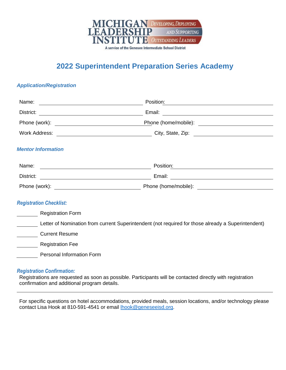

# **2022 Superintendent Preparation Series Academy**

#### *Application/Registration*

|                                | Position:                                                                                                                                                                                                                      |  |
|--------------------------------|--------------------------------------------------------------------------------------------------------------------------------------------------------------------------------------------------------------------------------|--|
|                                |                                                                                                                                                                                                                                |  |
|                                | Phone (home/mobile): \\espirit \\espirit \\espirit \\espirit \\espirit \\espirit \\espirit \\espirit \\espirit \\espirit \\espirit \\espirit \\espirit \\espirit \\espirit \\espirit \\espirit \\espirit \\espirit \\espirit \ |  |
|                                | Work Address: City, State, Zip: City, State, 2ip:                                                                                                                                                                              |  |
| <b>Mentor Information</b>      |                                                                                                                                                                                                                                |  |
|                                | Position:                                                                                                                                                                                                                      |  |
| District:                      |                                                                                                                                                                                                                                |  |
|                                |                                                                                                                                                                                                                                |  |
| <b>Registration Checklist:</b> |                                                                                                                                                                                                                                |  |
| <b>Registration Form</b>       |                                                                                                                                                                                                                                |  |
|                                | Letter of Nomination from current Superintendent (not required for those already a Superintendent)                                                                                                                             |  |

Current Resume

Registration Fee

Personal Information Form

#### *Registration Confirmation:*

Registrations are requested as soon as possible. Participants will be contacted directly with registration confirmation and additional program details.

For specific questions on hotel accommodations, provided meals, session locations, and/or technology please contact Lisa Hook at 810-591-4541 or email [lhook@geneseeisd.org.](mailto:lhook@geneseeisd.org)